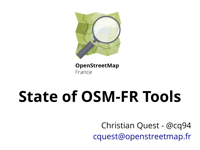

#### OpenStreetMap France

# **State of OSM-FR Tools**

Christian Quest - @cq94 [cquest@openstreetmap.fr](mailto:cquest@openstreetmap.fr)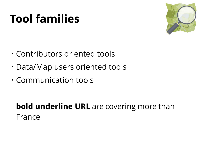#### **Tool families**



- Contributors oriented tools
- Data/Map users oriented tools
- Communication tools

#### **bold underline URL** are covering more than France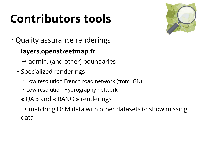### **Contributors tools**



- Quality assurance renderings
	- **layers.openstreetmap.fr**
		- $\rightarrow$  admin. (and other) boundaries
	- Specialized renderings
		- Low resolution French road network (from IGN)
		- Low resolution Hydrography network
	- « QA » and « BANO » renderings

 $\rightarrow$  matching OSM data with other datasets to show missing data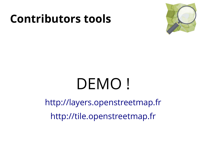#### **Contributors tools**



# DEMO!

[http://layers.openstreetmap.fr](http://layers.openstreetmap.fr/) [http://tile.openstreetmap.fr](http://tile.openstreetmap.fr/)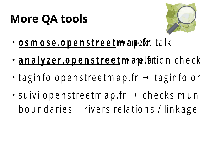#### **More QA tools**



- **o s m o s e .o p e n s t re e tm**→**a**n**p**e**.f**x**r**t ta lk
- an aly zer.openstreet mare lation check
- $\bullet$ tag in fo.openstreetm ap.fr  $\rightarrow$  tag in foor
- $\cdot$  suivi.openstreetmap.fr  $\rightarrow$  checks mun boundaries + rivers relations / linkage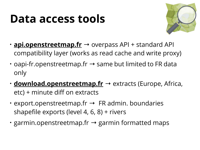#### **Data access tools**



- **api.openstreetmap.fr** → overpass API + standard API compatibility layer (works as read cache and write proxy)
- $\cdot$  oapi-fr.openstreetmap.fr  $\rightarrow$  same but limited to FR data only
- **download.openstreetmap.fr** → extracts (Europe, Africa,  $etc$ ) + minute diff on extracts
- $\cdot$  export.openstreetmap.fr  $\rightarrow$  FR admin. boundaries shapefile exports (level 4, 6, 8) + rivers
- $\cdot$  garmin.openstreetmap.fr  $\rightarrow$  garmin formatted maps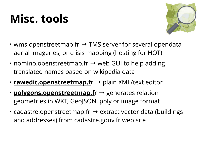### **Misc. tools**



- wms.openstreetmap.fr  $\rightarrow$  TMS server for several opendata aerial imageries, or crisis mapping (hosting for HOT)
- $\cdot$  nomino.openstreetmap.fr  $\rightarrow$  web GUI to help adding translated names based on wikipedia data
- **rawedit.openstreetmap.f**r → plain XML/text editor
- **polygons.openstreetmap.f**r → generates relation geometries in WKT, GeoJSON, poly or image format
- $\cdot$  cadastre.openstreetmap.fr  $\rightarrow$  extract vector data (buildings and addresses) from cadastre.gouv.fr web site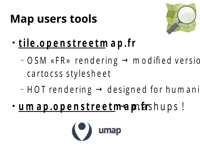#### **Map users tools**



- **t ile .o p e n s t re e tm a p .f r**
	- $-$  O SM «FR» rendering  $\rightarrow$  m odified versio carto css stylesheet
	- $-$  HOT rendering  $\rightarrow$  designed for humani
- **u m a p .o p e n s t r e e t m a p n far** s h u p s !

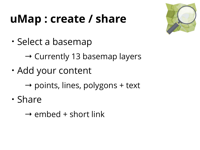#### **uMap : create / share**



• Select a basemap

 $\rightarrow$  Currently 13 basemap layers

• Add your content

 $\rightarrow$  points, lines, polygons + text

• Share

 $\rightarrow$  embed + short link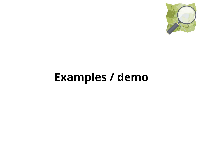

#### **Examples / demo**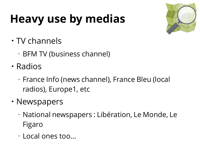## **Heavy use by medias**



- $\cdot$  TV channels
	- BFM TV (business channel)
- Radios
	- France Info (news channel), France Bleu (local radios), Europe1, etc
- Newspapers
	- National newspapers : Libération, Le Monde, Le Figaro
	- Local ones too...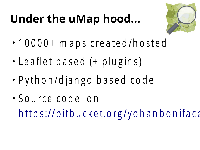### **Under the uMap hood...**



- 10000+ m a p s created/hosted
- Leaflet based (+ plugins)
- P y th o n / d ja n g o b a s e d c o d e
- Source code on h t t p s ://b it b u c k e t . o r g / y o h a n b o n if a c  $\epsilon$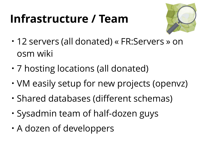#### **Infrastructure / Team**



- 12 servers (all donated) « FR:Servers » on osm wiki
- 7 hosting locations (all donated)
- VM easily setup for new projects (openvz)
- Shared databases (different schemas)
- Sysadmin team of half-dozen guys
- A dozen of developpers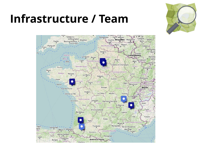

#### **Infrastructure / Team**